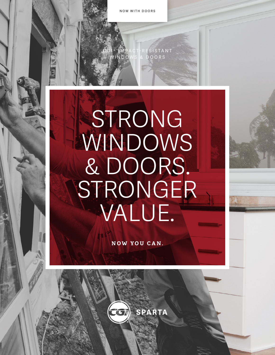NOW WITH DOORS

CGI® IMPACT-RESISTANT WINDOWS & DOORS

## STRONG WINDOWS & DOORS. STRONGER VALUE.

**NOW YOU CAN.**

 $\left(\overline{C}\right)$  SPARTA